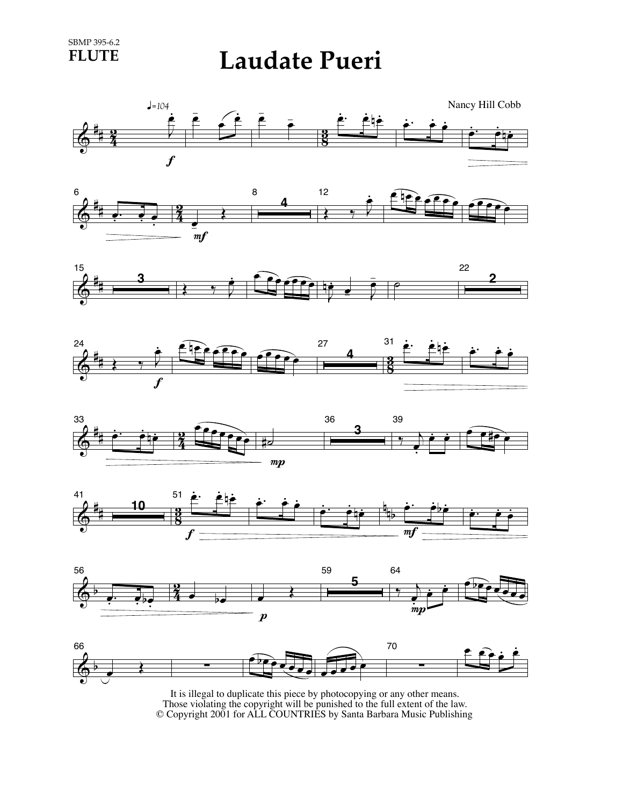**FLUTE Laudate Pueri**

















It is illegal to duplicate this piece by photocopying or any other means. Those violating the copyright will be punished to the full extent of the law. © Copyright 2001 for ALL COUNTRIES by Santa Barbara Music Publishing